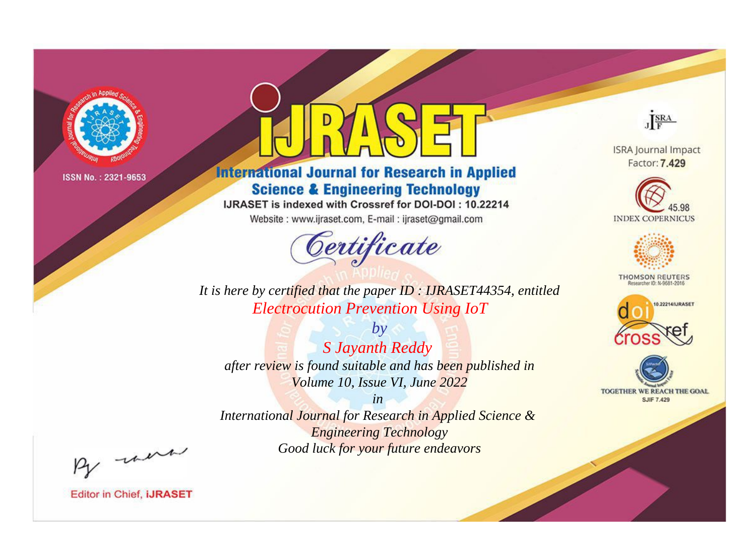

# **International Journal for Research in Applied Science & Engineering Technology**

IJRASET is indexed with Crossref for DOI-DOI: 10.22214

Website: www.ijraset.com, E-mail: ijraset@gmail.com



JERA

**ISRA Journal Impact** Factor: 7.429





**THOMSON REUTERS** 



TOGETHER WE REACH THE GOAL **SJIF 7.429** 

It is here by certified that the paper ID : IJRASET44354, entitled **Electrocution Prevention Using IoT** 

 $by$ S Jayanth Reddy after review is found suitable and has been published in Volume 10, Issue VI, June 2022

 $in$ International Journal for Research in Applied Science & **Engineering Technology** Good luck for your future endeavors

By morn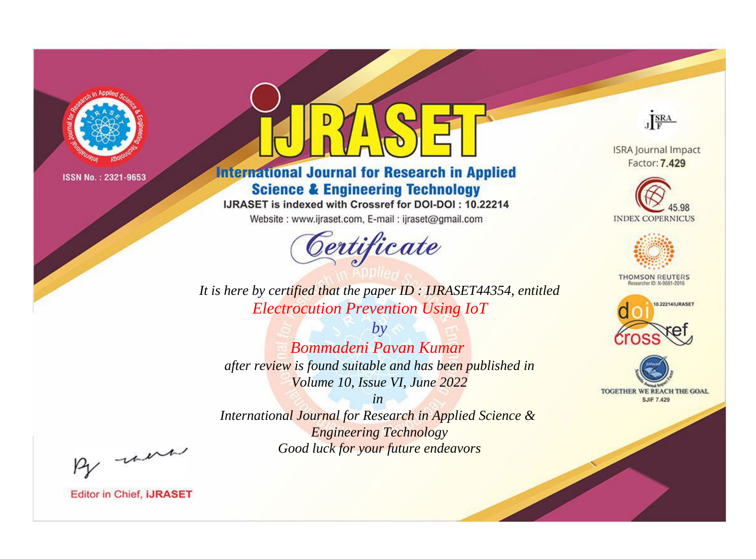

# **International Journal for Research in Applied Science & Engineering Technology**

IJRASET is indexed with Crossref for DOI-DOI: 10.22214

Website: www.ijraset.com, E-mail: ijraset@gmail.com



JERA

**ISRA Journal Impact** Factor: 7.429





**THOMSON REUTERS** 



TOGETHER WE REACH THE GOAL **SJIF 7.429** 

*It is here by certified that the paper ID : IJRASET44354, entitled Electrocution Prevention Using IoT*

*by Bommadeni Pavan Kumar after review is found suitable and has been published in Volume 10, Issue VI, June 2022*

*in* 

*International Journal for Research in Applied Science & Engineering Technology Good luck for your future endeavors*

By morn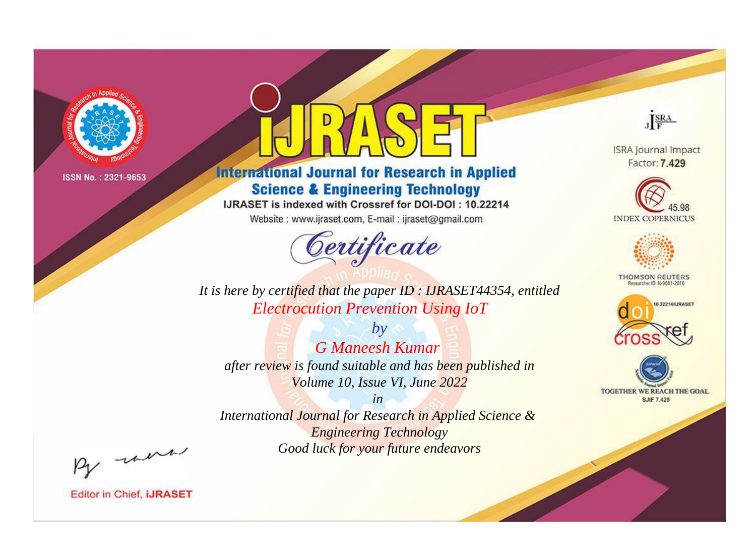

# **International Journal for Research in Applied Science & Engineering Technology**

IJRASET is indexed with Crossref for DOI-DOI: 10.22214

Website: www.ijraset.com, E-mail: ijraset@gmail.com



JERA

**ISRA Journal Impact** Factor: 7.429





**THOMSON REUTERS** 



TOGETHER WE REACH THE GOAL **SJIF 7.429** 

*It is here by certified that the paper ID : IJRASET44354, entitled Electrocution Prevention Using IoT*

*by G Maneesh Kumar after review is found suitable and has been published in Volume 10, Issue VI, June 2022*

*in International Journal for Research in Applied Science &* 

*Engineering Technology Good luck for your future endeavors*

By morn